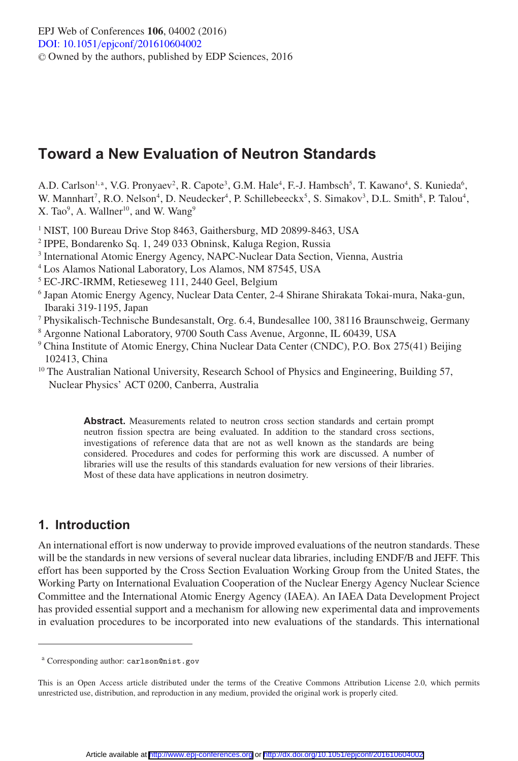# **Toward a New Evaluation of Neutron Standards**

A.D. Carlson<sup>1, a</sup>, V.G. Pronyaev<sup>2</sup>, R. Capote<sup>3</sup>, G.M. Hale<sup>4</sup>, F.-J. Hambsch<sup>5</sup>, T. Kawano<sup>4</sup>, S. Kunieda<sup>6</sup>, W. Mannhart<sup>7</sup>, R.O. Nelson<sup>4</sup>, D. Neudecker<sup>4</sup>, P. Schillebeeckx<sup>5</sup>, S. Simakov<sup>3</sup>, D.L. Smith<sup>8</sup>, P. Talou<sup>4</sup>, X. Tao<sup>9</sup>, A. Wallner<sup>10</sup>, and W. Wang<sup>9</sup>

<sup>1</sup> NIST, 100 Bureau Drive Stop 8463, Gaithersburg, MD 20899-8463, USA

- <sup>2</sup> IPPE, Bondarenko Sq. 1, 249 033 Obninsk, Kaluga Region, Russia
- <sup>3</sup> International Atomic Energy Agency, NAPC-Nuclear Data Section, Vienna, Austria
- <sup>4</sup> Los Alamos National Laboratory, Los Alamos, NM 87545, USA
- <sup>5</sup> EC-JRC-IRMM, Retieseweg 111, 2440 Geel, Belgium
- <sup>6</sup> Japan Atomic Energy Agency, Nuclear Data Center, 2-4 Shirane Shirakata Tokai-mura, Naka-gun, Ibaraki 319-1195, Japan
- <sup>7</sup> Physikalisch-Technische Bundesanstalt, Org. 6.4, Bundesallee 100, 38116 Braunschweig, Germany
- <sup>8</sup> Argonne National Laboratory, 9700 South Cass Avenue, Argonne, IL 60439, USA
- <sup>9</sup> China Institute of Atomic Energy, China Nuclear Data Center (CNDC), P.O. Box 275(41) Beijing 102413, China
- <sup>10</sup> The Australian National University, Research School of Physics and Engineering, Building 57, Nuclear Physics' ACT 0200, Canberra, Australia

**Abstract.** Measurements related to neutron cross section standards and certain prompt neutron fission spectra are being evaluated. In addition to the standard cross sections, investigations of reference data that are not as well known as the standards are being considered. Procedures and codes for performing this work are discussed. A number of libraries will use the results of this standards evaluation for new versions of their libraries. Most of these data have applications in neutron dosimetry.

## **1. Introduction**

An international effort is now underway to provide improved evaluations of the neutron standards. These will be the standards in new versions of several nuclear data libraries, including ENDF/B and JEFF. This effort has been supported by the Cross Section Evaluation Working Group from the United States, the Working Party on International Evaluation Cooperation of the Nuclear Energy Agency Nuclear Science Committee and the International Atomic Energy Agency (IAEA). An IAEA Data Development Project has provided essential support and a mechanism for allowing new experimental data and improvements in evaluation procedures to be incorporated into new evaluations of the standards. This international

<sup>a</sup> Corresponding author: carlson@nist.gov

This is an Open Access article distributed under the terms of the Creative Commons Attribution License 2.0, which permits unrestricted use, distribution, and reproduction in any medium, provided the original work is properly cited.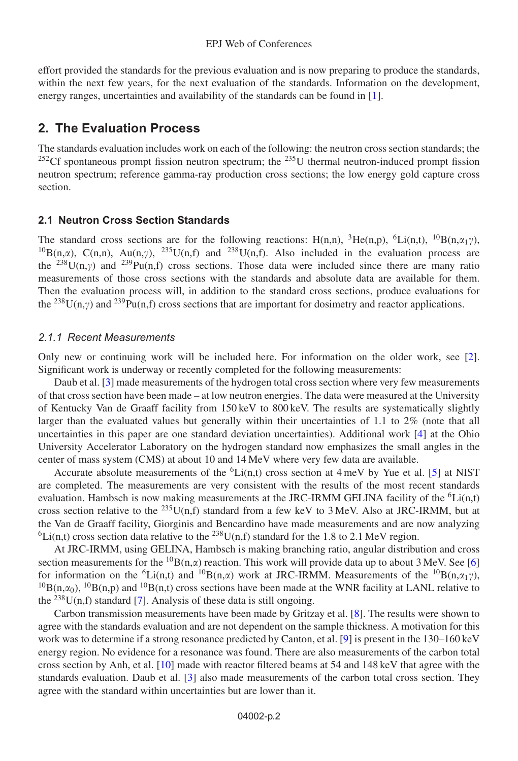effort provided the standards for the previous evaluation and is now preparing to produce the standards, within the next few years, for the next evaluation of the standards. Information on the development, energy ranges, uncertainties and availability of the standards can be found in [\[1](#page-7-0)].

## **2. The Evaluation Process**

The standards evaluation includes work on each of the following: the neutron cross section standards; the  $^{252}$ Cf spontaneous prompt fission neutron spectrum; the  $^{235}$ U thermal neutron-induced prompt fission neutron spectrum; reference gamma-ray production cross sections; the low energy gold capture cross section.

### **2.1 Neutron Cross Section Standards**

The standard cross sections are for the following reactions: H(n,n), <sup>3</sup>He(n,p), <sup>6</sup>Li(n,t), <sup>10</sup>B(n, $\alpha_1\gamma$ ), <sup>10</sup>B(n, $\alpha$ ), C(n,n), Au(n, $\gamma$ ), <sup>235</sup>U(n,f) and <sup>238</sup>U(n,f). Also included in the evaluation process are the <sup>238</sup>U(n,y) and <sup>239</sup>Pu(n,f) cross sections. Those data were included since there are many ratio measurements of those cross sections with the standards and absolute data are available for them. Then the evaluation process will, in addition to the standard cross sections, produce evaluations for the <sup>238</sup>U(n, $\gamma$ ) and <sup>239</sup>Pu(n,f) cross sections that are important for dosimetry and reactor applications.

#### *2.1.1 Recent Measurements*

Only new or continuing work will be included here. For information on the older work, see [\[2\]](#page-7-1). Significant work is underway or recently completed for the following measurements:

Daub et al. [\[3](#page-7-2)] made measurements of the hydrogen total cross section where very few measurements of that cross section have been made – at low neutron energies. The data were measured at the University of Kentucky Van de Graaff facility from 150 keV to 800 keV. The results are systematically slightly larger than the evaluated values but generally within their uncertainties of 1.1 to 2% (note that all uncertainties in this paper are one standard deviation uncertainties). Additional work [\[4\]](#page-7-3) at the Ohio University Accelerator Laboratory on the hydrogen standard now emphasizes the small angles in the center of mass system (CMS) at about 10 and 14 MeV where very few data are available.

Accurate absolute measurements of the  ${}^6$ Li(n,t) cross section at 4 meV by Yue et al. [\[5](#page-7-4)] at NIST are completed. The measurements are very consistent with the results of the most recent standards evaluation. Hambsch is now making measurements at the JRC-IRMM GELINA facility of the  ${}^6$ Li(n,t) cross section relative to the <sup>235</sup>U(n,f) standard from a few keV to 3 MeV. Also at JRC-IRMM, but at the Van de Graaff facility, Giorginis and Bencardino have made measurements and are now analyzing  ${}^{6}Li(n,t)$  cross section data relative to the <sup>238</sup>U(n,f) standard for the 1.8 to 2.1 MeV region.

At JRC-IRMM, using GELINA, Hambsch is making branching ratio, angular distribution and cross section measurements for the <sup>10</sup>B(n, $\alpha$ ) reaction. This work will provide data up to about 3 MeV. See [\[6](#page-7-5)] for information on the <sup>6</sup>Li(n,t) and <sup>10</sup>B(n, $\alpha$ ) work at JRC-IRMM. Measurements of the <sup>10</sup>B(n, $\alpha_1\gamma$ ),  $10B(n,\alpha_0)$ ,  $10B(n,p)$  and  $10B(n,t)$  cross sections have been made at the WNR facility at LANL relative to the  $^{238}$ U(n,f) standard [\[7\]](#page-7-6). Analysis of these data is still ongoing.

Carbon transmission measurements have been made by Gritzay et al. [\[8\]](#page-7-7). The results were shown to agree with the standards evaluation and are not dependent on the sample thickness. A motivation for this work was to determine if a strong resonance predicted by Canton, et al. [\[9](#page-7-8)] is present in the 130–160 keV energy region. No evidence for a resonance was found. There are also measurements of the carbon total cross section by Anh, et al. [\[10\]](#page-7-9) made with reactor filtered beams at 54 and 148 keV that agree with the standards evaluation. Daub et al. [\[3\]](#page-7-2) also made measurements of the carbon total cross section. They agree with the standard within uncertainties but are lower than it.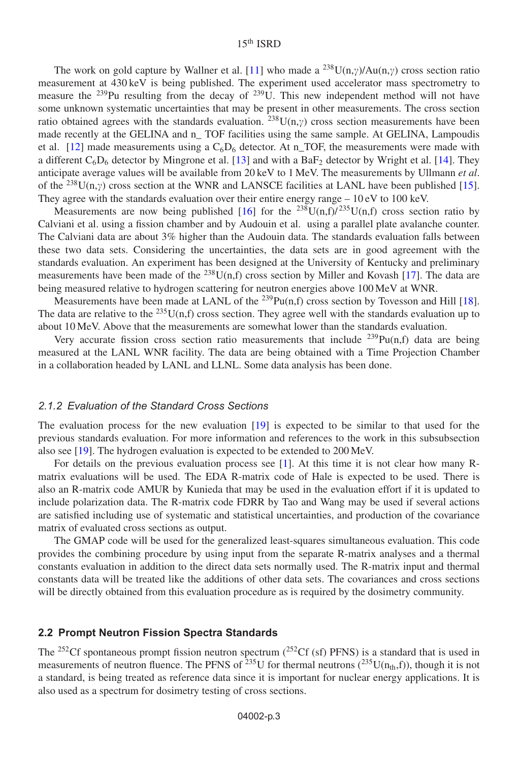The work on gold capture by Wallner et al. [\[11\]](#page-7-10) who made a  $^{238}U(n,y)/Au(n,y)$  cross section ratio measurement at 430 keV is being published. The experiment used accelerator mass spectrometry to measure the  $239$ Pu resulting from the decay of  $239$ U. This new independent method will not have some unknown systematic uncertainties that may be present in other measurements. The cross section ratio obtained agrees with the standards evaluation.  $^{238}U(n,\gamma)$  cross section measurements have been made recently at the GELINA and n\_ TOF facilities using the same sample. At GELINA, Lampoudis et al. [\[12\]](#page-7-11) made measurements using a  $C_6D_6$  detector. At n\_TOF, the measurements were made with a different  $C_6D_6$  detector by Mingrone et al. [\[13](#page-7-12)] and with a BaF<sub>2</sub> detector by Wright et al. [\[14\]](#page-7-13). They anticipate average values will be available from 20 keV to 1 MeV. The measurements by Ullmann *et al*. of the <sup>238</sup>U(n, $\gamma$ ) cross section at the WNR and LANSCE facilities at LANL have been published [\[15\]](#page-7-14). They agree with the standards evaluation over their entire energy range  $-10 \text{ eV}$  to 100 keV.

Measurements are now being published [\[16\]](#page-7-15) for the <sup>238</sup>U(n,f)/<sup>235</sup>U(n,f) cross section ratio by Calviani et al. using a fission chamber and by Audouin et al. using a parallel plate avalanche counter. The Calviani data are about 3% higher than the Audouin data. The standards evaluation falls between these two data sets. Considering the uncertainties, the data sets are in good agreement with the standards evaluation. An experiment has been designed at the University of Kentucky and preliminary measurements have been made of the  $^{238}U(n,f)$  cross section by Miller and Kovash [\[17](#page-7-16)]. The data are being measured relative to hydrogen scattering for neutron energies above 100 MeV at WNR.

Measurements have been made at LANL of the  $^{239}Pu(n,f)$  cross section by Tovesson and Hill [\[18\]](#page-7-17). The data are relative to the <sup>235</sup>U(n,f) cross section. They agree well with the standards evaluation up to about 10 MeV. Above that the measurements are somewhat lower than the standards evaluation.

Very accurate fission cross section ratio measurements that include  $^{239}Pu(n,f)$  data are being measured at the LANL WNR facility. The data are being obtained with a Time Projection Chamber in a collaboration headed by LANL and LLNL. Some data analysis has been done.

#### *2.1.2 Evaluation of the Standard Cross Sections*

The evaluation process for the new evaluation [\[19](#page-7-18)] is expected to be similar to that used for the previous standards evaluation. For more information and references to the work in this subsubsection also see [\[19\]](#page-7-18). The hydrogen evaluation is expected to be extended to 200 MeV.

For details on the previous evaluation process see [\[1](#page-7-0)]. At this time it is not clear how many Rmatrix evaluations will be used. The EDA R-matrix code of Hale is expected to be used. There is also an R-matrix code AMUR by Kunieda that may be used in the evaluation effort if it is updated to include polarization data. The R-matrix code FDRR by Tao and Wang may be used if several actions are satisfied including use of systematic and statistical uncertainties, and production of the covariance matrix of evaluated cross sections as output.

The GMAP code will be used for the generalized least-squares simultaneous evaluation. This code provides the combining procedure by using input from the separate R-matrix analyses and a thermal constants evaluation in addition to the direct data sets normally used. The R-matrix input and thermal constants data will be treated like the additions of other data sets. The covariances and cross sections will be directly obtained from this evaluation procedure as is required by the dosimetry community.

#### **2.2 Prompt Neutron Fission Spectra Standards**

The <sup>252</sup>Cf spontaneous prompt fission neutron spectrum ( $^{252}$ Cf (sf) PFNS) is a standard that is used in measurements of neutron fluence. The PFNS of <sup>235</sup>U for thermal neutrons (<sup>235</sup>U(n<sub>th</sub>,f)), though it is not a standard, is being treated as reference data since it is important for nuclear energy applications. It is also used as a spectrum for dosimetry testing of cross sections.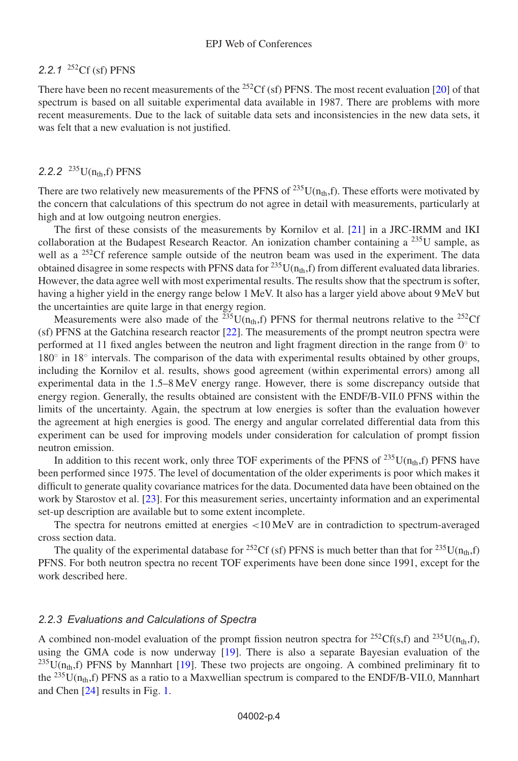## *2.2.1* 252Cf (sf) PFNS

There have been no recent measurements of the <sup>252</sup>Cf (sf) PFNS. The most recent evaluation [\[20\]](#page-7-19) of that spectrum is based on all suitable experimental data available in 1987. There are problems with more recent measurements. Due to the lack of suitable data sets and inconsistencies in the new data sets, it was felt that a new evaluation is not justified.

## 2.2.2<sup>235</sup>U( $n_{th}$ ,f) PFNS

There are two relatively new measurements of the PFNS of  $^{235}U(n_{th},f)$ . These efforts were motivated by the concern that calculations of this spectrum do not agree in detail with measurements, particularly at high and at low outgoing neutron energies.

The first of these consists of the measurements by Kornilov et al. [\[21](#page-7-20)] in a JRC-IRMM and IKI collaboration at the Budapest Research Reactor. An ionization chamber containing a <sup>235</sup>U sample, as well as a <sup>252</sup>Cf reference sample outside of the neutron beam was used in the experiment. The data obtained disagree in some respects with PFNS data for <sup>235</sup>U( $n_{th}$ ,f) from different evaluated data libraries. However, the data agree well with most experimental results. The results show that the spectrum is softer, having a higher yield in the energy range below 1 MeV. It also has a larger yield above about 9 MeV but the uncertainties are quite large in that energy region.

Measurements were also made of the <sup>235</sup>U(n<sub>th</sub>,f) PFNS for thermal neutrons relative to the <sup>252</sup>Cf (sf) PFNS at the Gatchina research reactor [\[22\]](#page-7-21). The measurements of the prompt neutron spectra were performed at 11 fixed angles between the neutron and light fragment direction in the range from 0◦ to 180◦ in 18◦ intervals. The comparison of the data with experimental results obtained by other groups, including the Kornilov et al. results, shows good agreement (within experimental errors) among all experimental data in the 1.5–8 MeV energy range. However, there is some discrepancy outside that energy region. Generally, the results obtained are consistent with the ENDF/B-VII.0 PFNS within the limits of the uncertainty. Again, the spectrum at low energies is softer than the evaluation however the agreement at high energies is good. The energy and angular correlated differential data from this experiment can be used for improving models under consideration for calculation of prompt fission neutron emission.

In addition to this recent work, only three TOF experiments of the PFNS of  $^{235}$ U(n<sub>th</sub>,f) PFNS have been performed since 1975. The level of documentation of the older experiments is poor which makes it difficult to generate quality covariance matrices for the data. Documented data have been obtained on the work by Starostov et al. [\[23](#page-7-22)]. For this measurement series, uncertainty information and an experimental set-up description are available but to some extent incomplete.

The spectra for neutrons emitted at energies <10 MeV are in contradiction to spectrum-averaged cross section data.

The quality of the experimental database for <sup>252</sup>Cf (sf) PFNS is much better than that for <sup>235</sup>U(n<sub>th</sub>,f) PFNS. For both neutron spectra no recent TOF experiments have been done since 1991, except for the work described here.

#### *2.2.3 Evaluations and Calculations of Spectra*

A combined non-model evaluation of the prompt fission neutron spectra for <sup>252</sup>Cf(s,f) and <sup>235</sup>U(n<sub>th</sub>,f), using the GMA code is now underway [\[19](#page-7-18)]. There is also a separate Bayesian evaluation of the  $^{235}U(n_{th},f)$  PFNS by Mannhart [\[19](#page-7-18)]. These two projects are ongoing. A combined preliminary fit to the  $^{235}$ U(n<sub>th</sub>,f) PFNS as a ratio to a Maxwellian spectrum is compared to the ENDF/B-VII.0, Mannhart and Chen [\[24](#page-7-23)] results in Fig. [1.](#page-4-0)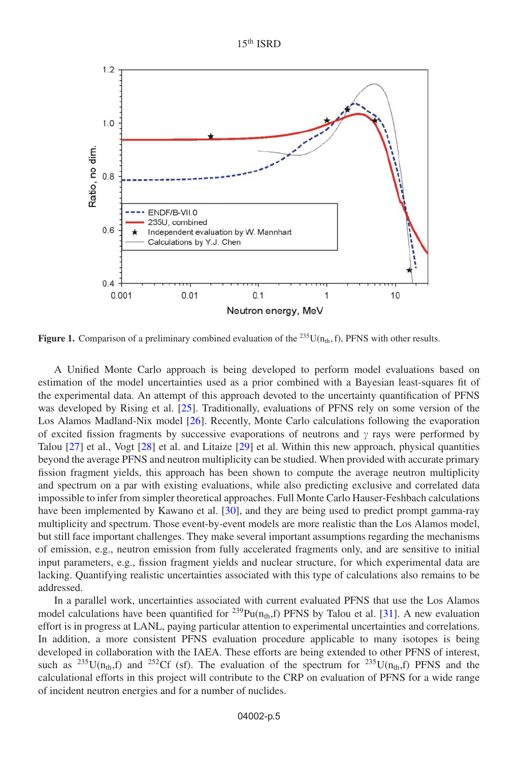15th ISRD

<span id="page-4-0"></span>

**Figure 1.** Comparison of a preliminary combined evaluation of the  $^{235}U(n_{th}, f)$ , PFNS with other results.

A Unified Monte Carlo approach is being developed to perform model evaluations based on estimation of the model uncertainties used as a prior combined with a Bayesian least-squares fit of the experimental data. An attempt of this approach devoted to the uncertainty quantification of PFNS was developed by Rising et al. [\[25\]](#page-7-24). Traditionally, evaluations of PFNS rely on some version of the Los Alamos Madland-Nix model [\[26\]](#page-7-25). Recently, Monte Carlo calculations following the evaporation of excited fission fragments by successive evaporations of neutrons and  $\gamma$  rays were performed by Talou [\[27](#page-7-26)] et al., Vogt [\[28](#page-7-27)] et al. and Litaize [\[29](#page-7-28)] et al. Within this new approach, physical quantities beyond the average PFNS and neutron multiplicity can be studied. When provided with accurate primary fission fragment yields, this approach has been shown to compute the average neutron multiplicity and spectrum on a par with existing evaluations, while also predicting exclusive and correlated data impossible to infer from simpler theoretical approaches. Full Monte Carlo Hauser-Feshbach calculations have been implemented by Kawano et al. [\[30](#page-8-0)], and they are being used to predict prompt gamma-ray multiplicity and spectrum. Those event-by-event models are more realistic than the Los Alamos model, but still face important challenges. They make several important assumptions regarding the mechanisms of emission, e.g., neutron emission from fully accelerated fragments only, and are sensitive to initial input parameters, e.g., fission fragment yields and nuclear structure, for which experimental data are lacking. Quantifying realistic uncertainties associated with this type of calculations also remains to be addressed.

In a parallel work, uncertainties associated with current evaluated PFNS that use the Los Alamos model calculations have been quantified for <sup>239</sup>Pu( $n<sub>th</sub>$ ,f) PFNS by Talou et al. [\[31\]](#page-8-1). A new evaluation effort is in progress at LANL, paying particular attention to experimental uncertainties and correlations. In addition, a more consistent PFNS evaluation procedure applicable to many isotopes is being developed in collaboration with the IAEA. These efforts are being extended to other PFNS of interest, such as <sup>235</sup>U( $n_{th}$ ,f) and <sup>252</sup>Cf (sf). The evaluation of the spectrum for <sup>235</sup>U( $n_{th}$ ,f) PFNS and the calculational efforts in this project will contribute to the CRP on evaluation of PFNS for a wide range of incident neutron energies and for a number of nuclides.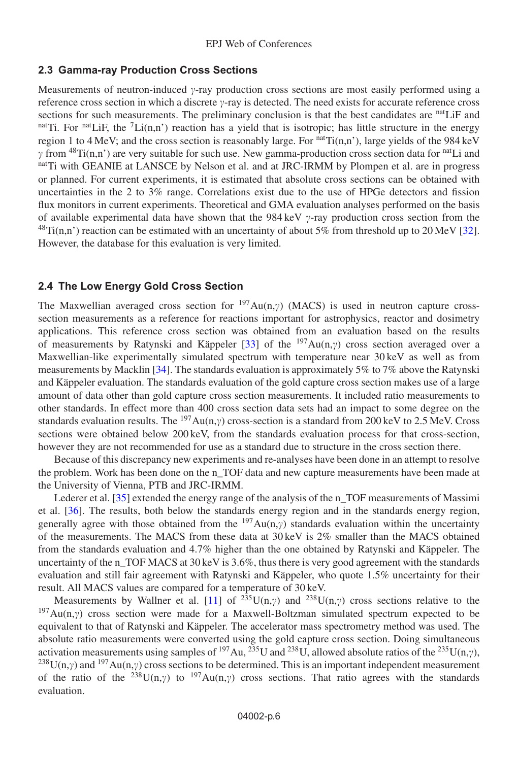#### **2.3 Gamma-ray Production Cross Sections**

Measurements of neutron-induced  $\gamma$ -ray production cross sections are most easily performed using a reference cross section in which a discrete  $\gamma$ -ray is detected. The need exists for accurate reference cross sections for such measurements. The preliminary conclusion is that the best candidates are <sup>nat</sup>LiF and nat Ti. For nat LiF, the  ${}^{7}$ Li(n,n') reaction has a yield that is isotropic; has little structure in the energy region 1 to 4 MeV; and the cross section is reasonably large. For natTi(n,n'), large yields of the 984 keV  $\gamma$  from <sup>48</sup>Ti(n,n') are very suitable for such use. New gamma-production cross section data for <sup>nat</sup>Li and nat Ti with GEANIE at LANSCE by Nelson et al. and at JRC-IRMM by Plompen et al. are in progress or planned. For current experiments, it is estimated that absolute cross sections can be obtained with uncertainties in the 2 to 3% range. Correlations exist due to the use of HPGe detectors and fission flux monitors in current experiments. Theoretical and GMA evaluation analyses performed on the basis of available experimental data have shown that the 984 keV  $\gamma$ -ray production cross section from the  $^{48}Ti(n,n')$  reaction can be estimated with an uncertainty of about 5% from threshold up to 20 MeV [\[32\]](#page-8-2). However, the database for this evaluation is very limited.

#### **2.4 The Low Energy Gold Cross Section**

The Maxwellian averaged cross section for  $197Au(n,y)$  (MACS) is used in neutron capture crosssection measurements as a reference for reactions important for astrophysics, reactor and dosimetry applications. This reference cross section was obtained from an evaluation based on the results of measurements by Ratynski and Käppeler [\[33](#page-8-3)] of the  $197Au(n,\gamma)$  cross section averaged over a Maxwellian-like experimentally simulated spectrum with temperature near 30 keV as well as from measurements by Macklin [\[34\]](#page-8-4). The standards evaluation is approximately 5% to 7% above the Ratynski and Käppeler evaluation. The standards evaluation of the gold capture cross section makes use of a large amount of data other than gold capture cross section measurements. It included ratio measurements to other standards. In effect more than 400 cross section data sets had an impact to some degree on the standards evaluation results. The <sup>197</sup>Au(n, $\gamma$ ) cross-section is a standard from 200 keV to 2.5 MeV. Cross sections were obtained below 200 keV, from the standards evaluation process for that cross-section, however they are not recommended for use as a standard due to structure in the cross section there.

Because of this discrepancy new experiments and re-analyses have been done in an attempt to resolve the problem. Work has been done on the n\_TOF data and new capture measurements have been made at the University of Vienna, PTB and JRC-IRMM.

Lederer et al. [\[35\]](#page-8-5) extended the energy range of the analysis of the n\_TOF measurements of Massimi et al. [\[36](#page-8-6)]. The results, both below the standards energy region and in the standards energy region, generally agree with those obtained from the  $197Au(n,\gamma)$  standards evaluation within the uncertainty of the measurements. The MACS from these data at 30 keV is 2% smaller than the MACS obtained from the standards evaluation and 4.7% higher than the one obtained by Ratynski and Käppeler. The uncertainty of the n\_TOF MACS at 30 keV is  $3.6\%$ , thus there is very good agreement with the standards evaluation and still fair agreement with Ratynski and Käppeler, who quote 1.5% uncertainty for their result. All MACS values are compared for a temperature of 30 keV.

Measurements by Wallner et al. [\[11](#page-7-10)] of  $^{235}U(n,\gamma)$  and  $^{238}U(n,\gamma)$  cross sections relative to the  $197$ Au(n, $\gamma$ ) cross section were made for a Maxwell-Boltzman simulated spectrum expected to be equivalent to that of Ratynski and Käppeler. The accelerator mass spectrometry method was used. The absolute ratio measurements were converted using the gold capture cross section. Doing simultaneous activation measurements using samples of <sup>197</sup>Au, <sup>235</sup>U and <sup>238</sup>U, allowed absolute ratios of the <sup>235</sup>U(n, $\gamma$ ), <sup>238</sup>U(n, $\gamma$ ) and <sup>197</sup>Au(n, $\gamma$ ) cross sections to be determined. This is an important independent measurement of the ratio of the <sup>238</sup>U(n, $\gamma$ ) to <sup>197</sup>Au(n, $\gamma$ ) cross sections. That ratio agrees with the standards evaluation.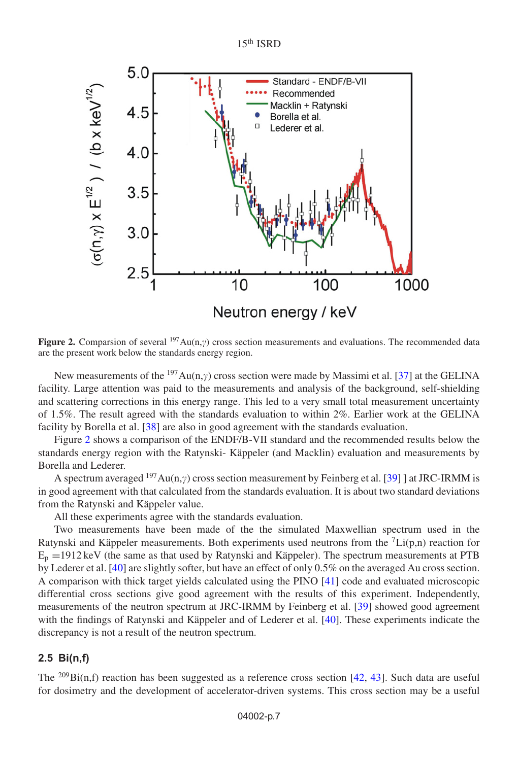<span id="page-6-0"></span>

**Figure 2.** Comparsion of several  $197\,\text{Au}(n,y)$  cross section measurements and evaluations. The recommended data are the present work below the standards energy region.

New measurements of the  $197Au(n,y)$  cross section were made by Massimi et al. [\[37\]](#page-8-7) at the GELINA facility. Large attention was paid to the measurements and analysis of the background, self-shielding and scattering corrections in this energy range. This led to a very small total measurement uncertainty of 1.5%. The result agreed with the standards evaluation to within 2%. Earlier work at the GELINA facility by Borella et al. [\[38\]](#page-8-8) are also in good agreement with the standards evaluation.

Figure [2](#page-6-0) shows a comparison of the ENDF/B-VII standard and the recommended results below the standards energy region with the Ratynski- Käppeler (and Macklin) evaluation and measurements by Borella and Lederer.

A spectrum averaged  $197Au(n,y)$  cross section measurement by Feinberg et al. [\[39](#page-8-9)] ] at JRC-IRMM is in good agreement with that calculated from the standards evaluation. It is about two standard deviations from the Ratynski and Käppeler value.

All these experiments agree with the standards evaluation.

Two measurements have been made of the the simulated Maxwellian spectrum used in the Ratynski and Käppeler measurements. Both experiments used neutrons from the  ${}^{7}Li(p,n)$  reaction for  $E_p = 1912 \text{ keV}$  (the same as that used by Ratynski and Käppeler). The spectrum measurements at PTB by Lederer et al. [\[40](#page-8-10)] are slightly softer, but have an effect of only 0.5% on the averaged Au cross section. A comparison with thick target yields calculated using the PINO [\[41](#page-8-11)] code and evaluated microscopic differential cross sections give good agreement with the results of this experiment. Independently, measurements of the neutron spectrum at JRC-IRMM by Feinberg et al. [\[39\]](#page-8-9) showed good agreement with the findings of Ratynski and Käppeler and of Lederer et al. [\[40](#page-8-10)]. These experiments indicate the discrepancy is not a result of the neutron spectrum.

## **2.5 Bi(n,f)**

The  $^{209}$ Bi(n,f) reaction has been suggested as a reference cross section [\[42](#page-8-12), [43\]](#page-8-13). Such data are useful for dosimetry and the development of accelerator-driven systems. This cross section may be a useful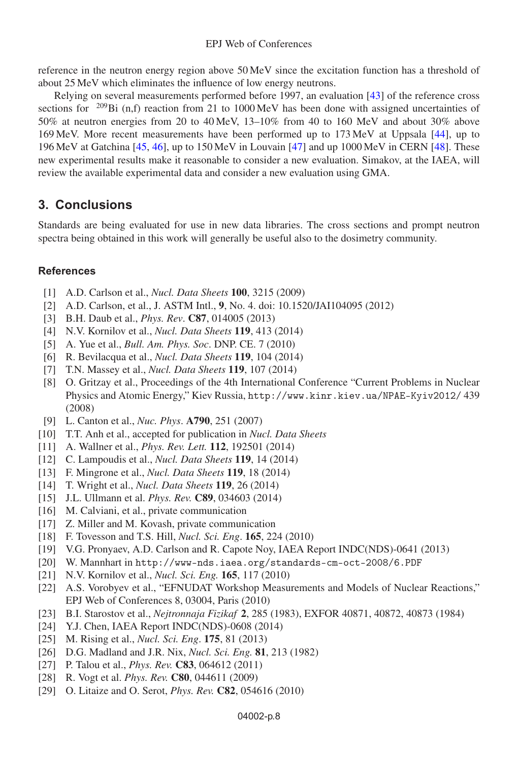reference in the neutron energy region above 50 MeV since the excitation function has a threshold of about 25 MeV which eliminates the influence of low energy neutrons.

Relying on several measurements performed before 1997, an evaluation [\[43](#page-8-13)] of the reference cross sections for <sup>209</sup>Bi (n,f) reaction from 21 to 1000 MeV has been done with assigned uncertainties of 50% at neutron energies from 20 to 40 MeV, 13–10% from 40 to 160 MeV and about 30% above 169 MeV. More recent measurements have been performed up to 173 MeV at Uppsala [\[44](#page-8-14)], up to 196 MeV at Gatchina [\[45,](#page-8-15) [46\]](#page-8-16), up to 150 MeV in Louvain [\[47\]](#page-8-17) and up 1000 MeV in CERN [\[48](#page-8-18)]. These new experimental results make it reasonable to consider a new evaluation. Simakov, at the IAEA, will review the available experimental data and consider a new evaluation using GMA.

## **3. Conclusions**

Standards are being evaluated for use in new data libraries. The cross sections and prompt neutron spectra being obtained in this work will generally be useful also to the dosimetry community.

#### <span id="page-7-0"></span>**References**

- [1] A.D. Carlson et al., *Nucl. Data Sheets* **100**, 3215 (2009)
- <span id="page-7-1"></span>[2] A.D. Carlson, et al., J. ASTM Intl., **9**, No. 4. doi: 10.1520/JAI104095 (2012)
- <span id="page-7-2"></span>[3] B.H. Daub et al., *Phys. Rev*. **C87**, 014005 (2013)
- <span id="page-7-3"></span>[4] N.V. Kornilov et al., *Nucl. Data Sheets* **119**, 413 (2014)
- <span id="page-7-4"></span>[5] A. Yue et al., *Bull. Am. Phys. Soc*. DNP. CE. 7 (2010)
- <span id="page-7-5"></span>[6] R. Bevilacqua et al., *Nucl. Data Sheets* **119**, 104 (2014)
- <span id="page-7-6"></span>[7] T.N. Massey et al., *Nucl. Data Sheets* **119**, 107 (2014)
- <span id="page-7-7"></span>[8] O. Gritzay et al., Proceedings of the 4th International Conference "Current Problems in Nuclear Physics and Atomic Energy," Kiev Russia, http://www.kinr.kiev.ua/NPAE-Kyiv2012/ 439 (2008)
- [9] L. Canton et al., *Nuc. Phys*. **A790**, 251 (2007)
- <span id="page-7-9"></span><span id="page-7-8"></span>[10] T.T. Anh et al., accepted for publication in *Nucl. Data Sheets*
- <span id="page-7-10"></span>[11] A. Wallner et al., *Phys. Rev. Lett.* **112**, 192501 (2014)
- <span id="page-7-11"></span>[12] C. Lampoudis et al., *Nucl. Data Sheets* **119**, 14 (2014)
- <span id="page-7-12"></span>[13] F. Mingrone et al., *Nucl. Data Sheets* **119**, 18 (2014)
- <span id="page-7-13"></span>[14] T. Wright et al., *Nucl. Data Sheets* **119**, 26 (2014)
- <span id="page-7-14"></span>[15] J.L. Ullmann et al. *Phys. Rev.* **C89**, 034603 (2014)
- <span id="page-7-15"></span>[16] M. Calviani, et al., private communication
- <span id="page-7-16"></span>[17] Z. Miller and M. Kovash, private communication
- <span id="page-7-17"></span>[18] F. Tovesson and T.S. Hill, *Nucl. Sci. Eng*. **165**, 224 (2010)
- <span id="page-7-18"></span>[19] V.G. Pronyaev, A.D. Carlson and R. Capote Noy, IAEA Report INDC(NDS)-0641 (2013)
- <span id="page-7-19"></span>[20] W. Mannhart in http://www-nds.iaea.org/standards-cm-oct-2008/6.PDF
- <span id="page-7-20"></span>[21] N.V. Kornilov et al., *Nucl. Sci. Eng.* **165**, 117 (2010)
- <span id="page-7-21"></span>[22] A.S. Vorobyev et al., "EFNUDAT Workshop Measurements and Models of Nuclear Reactions," EPJ Web of Conferences 8, 03004, Paris (2010)
- <span id="page-7-22"></span>[23] B.I. Starostov et al., *Nejtronnaja Fizikaf* **2**, 285 (1983), EXFOR 40871, 40872, 40873 (1984)
- <span id="page-7-23"></span>[24] Y.J. Chen, IAEA Report INDC(NDS)-0608 (2014)
- <span id="page-7-24"></span>[25] M. Rising et al., *Nucl. Sci. Eng*. **175**, 81 (2013)
- <span id="page-7-25"></span>[26] D.G. Madland and J.R. Nix, *Nucl. Sci. Eng.* **81**, 213 (1982)
- <span id="page-7-26"></span>[27] P. Talou et al., *Phys. Rev.* **C83**, 064612 (2011)
- <span id="page-7-27"></span>[28] R. Vogt et al. *Phys. Rev.* **C80**, 044611 (2009)
- <span id="page-7-28"></span>[29] O. Litaize and O. Serot, *Phys. Rev.* **C82**, 054616 (2010)